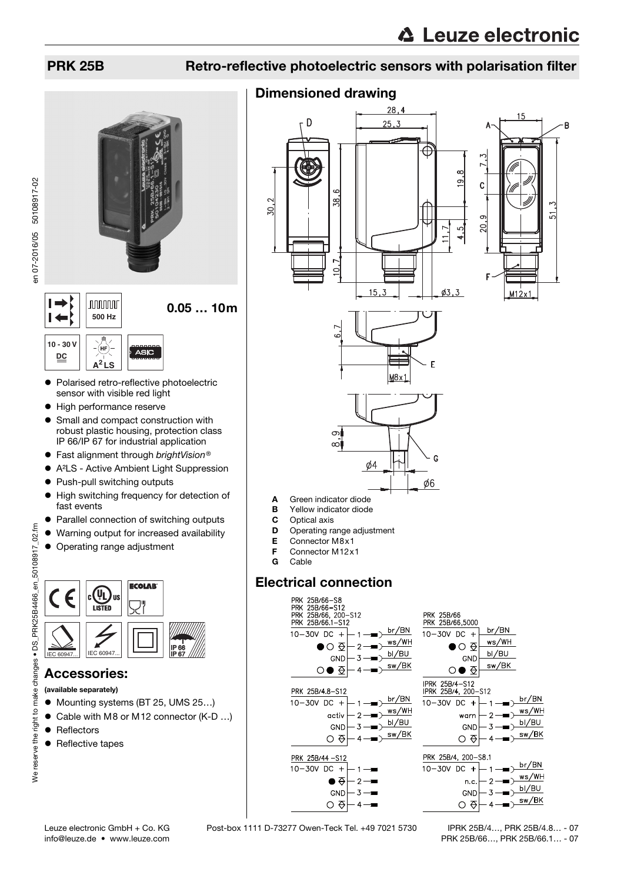R

## PRK 25B Retro-reflective photoelectric sensors with polarisation filter

## Dimensioned drawing







- A Green indicator diode
- **B** Yellow indicator diode<br>**C** Optical axis
- Optical axis
- **D** Operating range adjustment
- E Connector M8x1
- **F** Connector M12x1<br>**G** Cable
- Cable

## Electrical connection



en 07-2016/05 50108917-02 en 07-2016/05 50108917-02



- Polarised retro-reflective photoelectric sensor with visible red light
- $\bullet$  High performance reserve
- Small and compact construction with robust plastic housing, protection class IP 66/IP 67 for industrial application
- Fast alignment through brightVision<sup>®</sup><br>● A<sup>2</sup>LS Active Ambient Light Suppres
- A²LS Active Ambient Light Suppression
- Push-pull switching outputs
- $\bullet$  High switching frequency for detection of fast events
- **Parallel connection of switching outputs**
- Warning output for increased availability
- Operating range adjustment



## Accessories:

(available separately)

- Mounting systems (BT 25, UMS 25...)
- Cable with M8 or M12 connector (K-D ...)
- Reflectors
- Reflective tapes

info@leuze.de • www.leuze.com

Leuze electronic GmbH + Co. KG Post-box 1111 D-73277 Owen-Teck Tel. +49 7021 5730

 IPRK 25B/4…, PRK 25B/4.8… - 07 PRK 25B/66…, PRK 25B/66.1… - 07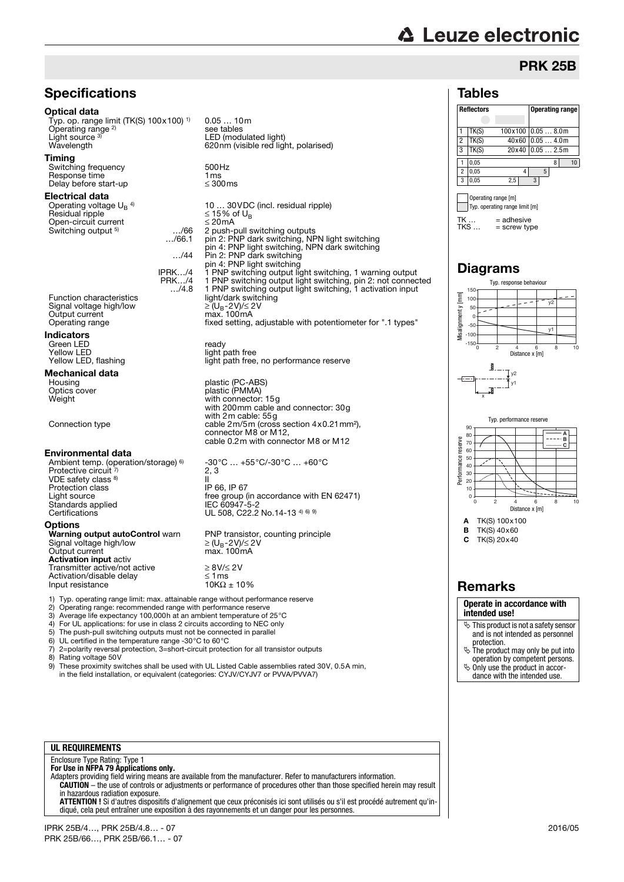# **△ Leuze electronic**

## PRK 25B

### Tables



 $TK ... = adhesive$ <br> $TKS ... = screw tw$  $=$  screw type Typ. operating range limit [m]

### Diagrams Typ. response behaviour

150



 $TK(S)$  40 $x60$ C TK(S) 20x40

**Operate in accordance with intended use!**

- This product is not a safety sensor and is not intended as personnel
- protection. The product may only be put into operation by competent persons.
- $\ddot{\phi}$  Only use the product in accordance with the intended use.

## **Specifications**

### Optical data

Typ. op. range limit (TK(S) 100x100) 1) Operating range<sup>2)</sup> Light source 3 Light source <sup>a)</sup> LED (modulated light)<br>Wavelength 620nm (visible red light, polarised)

### Timing

Switching frequency 500Hz<br>Response time 1 ms<br>Delay before start-up ≤ 300ms Response time Delay before start-up

### Electrical data

Operating voltage  $U_B$ <sup>4)</sup><br>Residual ripple Open-circuit current ≤ 20mA Switching output <sup>5)</sup>

…/66.1

0.05 … 10m

see tables

Praince is a constraint of the Signal voltage high/low Output current<br>Operating range

### Indicators

Green LED ready Yellow LED<br>Yellow LED, flashing entitled a light path free

## **Mechanical data**<br>Housing

### Environmental data

Ambient temp. (operation/storage) <sup>6)</sup><br>Protective circuit <sup>7)</sup> VDE safety class 8) Protection class<br>I joht source Standards applied<br>Certifications Certifications  $UL\ 508, C22.2\ No.14-13^{4)~69}$ 

Input resistance

**Options**<br>**Warning output autoControl** warn Signal voltage high/low<br>Output current Activation input activ Transmitter active/not active <br>Activation/disable delay  $≥ 8V/≤ 2V$ 

10 … 30VDC (incl. residual ripple)  $≤ 15%$  of U<sub>B</sub><br> ≤ 20mA 2 push-pull switching outputs pin 2: PNP dark switching, NPN light switching pin 4: PNP light switching, NPN dark switching …/44 Pin 2: PNP dark switching pin 4: PNP light switching IPRK…/4 1 PNP switching output light switching, 1 warning output PRK…/4 1 PNP switching output light switching, pin 2: not connected …/4.8 1 PNP switching output light switching, 1 activation input Function characteristics light/dark switching<br>Signal voltage high/low  $\geq (U_B - 2V)/\leq 2V$ <br>Output current max. 100mA fixed setting, adjustable with potentiometer for ".1 types"

light path free, no performance reserve

Housing plastic (PC-ABS) Optics cover plastic (PMMA) Weight Weight Weight with connector: 15g with 200mm cable and connector: 30g with 2m cable: 55g Connection type cable 2m/5m (cross section 4x0.21 mm<sup>2</sup>), connector M8 or M12, cable 0.2m with connector M8 or M12

-30°C … +55°C/-30°C … +60°C  $2, 3$  $\frac{11}{11}$ <br>IP 66, IP 67 Light source free group (in accordance with EN 62471)

> PNP transistor, counting principle  $\geq$  (U<sub>B</sub>-2V)/ $\leq$  2V<br>max. 100mA

Activation/disable delay  $\leq 1 \text{ ms}$ <br>
Input resistance  $10K\Omega \pm 10\%$ 

1) Typ. operating range limit: max. attainable range without performance reserve<br>2) Operating range: recommended range with performance reserve<br>3) Average life expectancy 100,000b at an ambient temperature of 25°C

- 2) Operating range: recommended range with performance reserve
- 3) Average life expectancy 100,000h at an ambient temperature of 25°C 4) For UL applications: for use in class 2 circuits according to NEC only
- 
- 5) The push-pull switching outputs must not be connected in parallel 6) UL certified in the temperature range -30 $^{\circ}$ C to 60 $^{\circ}$ C
- 6) UL certified in the temperature range -30 $^{\circ}$ C to 60 $^{\circ}$ C 7) 2=polarity reversal protection, 3=short-circuit protection
- 7) 2=polarity reversal protection, 3=short-circuit protection for all transistor outputs Rating voltage 50V
- 9) These proximity switches shall be used with UL Listed Cable assemblies rated 30V, 0.5A min, in the field installation, or equivalent (categories: CYJV/CYJV7 or PVVA/PVVA7)

### **UL REQUIREMENTS**

Enclosure Type Rating: Type 1 **For Use in NFPA 79 Applications only.**

Adapters providing field wiring means are available from the manufacturer. Refer to manufacturers information. **CAUTION** – the use of controls or adjustments or performance of procedures other than those specified herein may result in hazardous radiation exposure.

**ATTENTION !** Si d'autres dispositifs d'alignement que ceux préconisés ici sont utilisés ou s'il est procédé autrement qu'indiqué, cela peut entraîner une exposition à des rayonnements et un danger pour les personnes.



Remarks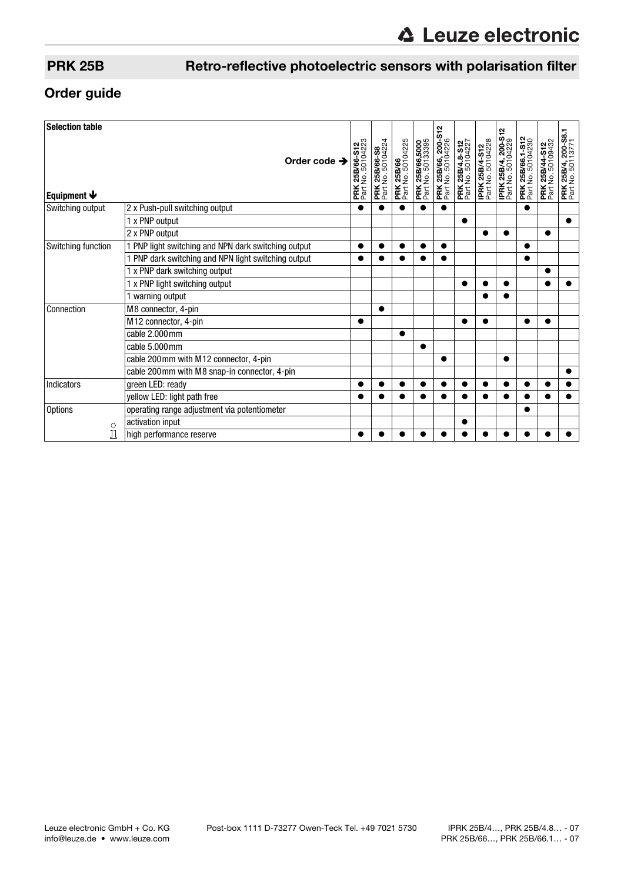## PRK 25B Retro-reflective photoelectric sensors with polarisation filter

## Order guide

| <b>Selection table</b>          |                                                     |                                     |                                           |                                        |                                      |                                          |                                      |                                     |                                          |                                       |                                            |                                                 |
|---------------------------------|-----------------------------------------------------|-------------------------------------|-------------------------------------------|----------------------------------------|--------------------------------------|------------------------------------------|--------------------------------------|-------------------------------------|------------------------------------------|---------------------------------------|--------------------------------------------|-------------------------------------------------|
| Equipment $\blacktriangleright$ | Order code $\rightarrow$                            | PRK 25B/66-S12<br>Part No. 50104223 | <b>PRK 25B/66-S8</b><br>Part No. 50104224 | <b>PRK 25B/66</b><br>Part No. 50104225 | PRK 25B/66,5000<br>Part No. 50133395 | PRK 25B/66, 200-S12<br>Part No. 50104226 | PRK 25B/4.8-S12<br>Part No. 50104227 | IPRK 25B/4-S12<br>Part No. 50104228 | IPRK 25B/4, 200-S12<br>Part No. 50104229 | PRK 25B/66.1-S12<br>Part No. 50104230 | <b>PRK 25B/44-S12</b><br>Part No. 50109432 | <b>PRK 25B/4, 200-S8.1</b><br>Part No. 50113771 |
| Switching output                | 2 x Push-pull switching output                      |                                     |                                           |                                        |                                      |                                          |                                      |                                     |                                          |                                       |                                            |                                                 |
|                                 | 1 x PNP output                                      |                                     |                                           |                                        |                                      |                                          |                                      |                                     |                                          |                                       |                                            |                                                 |
|                                 | 2 x PNP output                                      |                                     |                                           |                                        |                                      |                                          |                                      |                                     |                                          |                                       |                                            |                                                 |
| Switching function              | 1 PNP light switching and NPN dark switching output |                                     |                                           |                                        |                                      | ●                                        |                                      |                                     |                                          |                                       |                                            |                                                 |
|                                 | PNP dark switching and NPN light switching output   |                                     |                                           |                                        |                                      | ●                                        |                                      |                                     |                                          | O                                     |                                            |                                                 |
|                                 | 1 x PNP dark switching output                       |                                     |                                           |                                        |                                      |                                          |                                      |                                     |                                          |                                       |                                            |                                                 |
|                                 | 1 x PNP light switching output                      |                                     |                                           |                                        |                                      |                                          |                                      |                                     |                                          |                                       |                                            |                                                 |
|                                 | 1 warning output                                    |                                     |                                           |                                        |                                      |                                          |                                      |                                     |                                          |                                       |                                            |                                                 |
| Connection                      | M8 connector, 4-pin                                 |                                     | ●                                         |                                        |                                      |                                          |                                      |                                     |                                          |                                       |                                            |                                                 |
|                                 | M12 connector, 4-pin                                |                                     |                                           |                                        |                                      |                                          |                                      |                                     |                                          |                                       |                                            |                                                 |
|                                 | cable 2.000mm                                       |                                     |                                           |                                        |                                      |                                          |                                      |                                     |                                          |                                       |                                            |                                                 |
|                                 | cable 5.000mm                                       |                                     |                                           |                                        |                                      |                                          |                                      |                                     |                                          |                                       |                                            |                                                 |
|                                 | cable 200mm with M12 connector, 4-pin               |                                     |                                           |                                        |                                      |                                          |                                      |                                     |                                          |                                       |                                            |                                                 |
|                                 | cable 200mm with M8 snap-in connector, 4-pin        |                                     |                                           |                                        |                                      |                                          |                                      |                                     |                                          |                                       |                                            |                                                 |
| Indicators                      | green LED: ready                                    |                                     |                                           |                                        |                                      |                                          |                                      |                                     |                                          |                                       |                                            |                                                 |
|                                 | yellow LED: light path free                         |                                     |                                           |                                        |                                      |                                          |                                      |                                     |                                          |                                       |                                            |                                                 |
| <b>Options</b><br>$\circ$<br>Í  | operating range adjustment via potentiometer        |                                     |                                           |                                        |                                      |                                          |                                      |                                     |                                          |                                       |                                            |                                                 |
|                                 | activation input                                    |                                     |                                           |                                        |                                      |                                          |                                      |                                     |                                          |                                       |                                            |                                                 |
|                                 | high performance reserve                            |                                     |                                           |                                        |                                      |                                          |                                      |                                     |                                          |                                       |                                            |                                                 |